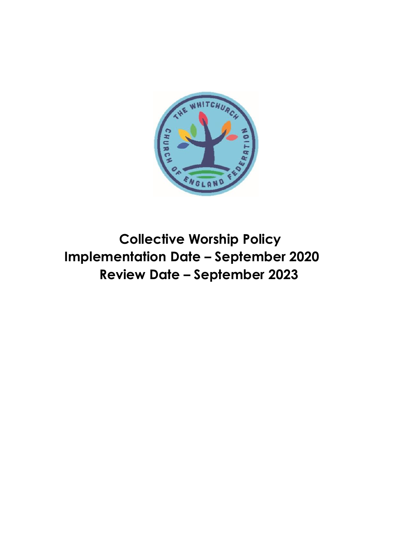

**Collective Worship Policy Implementation Date – September 2020 Review Date – September 2023**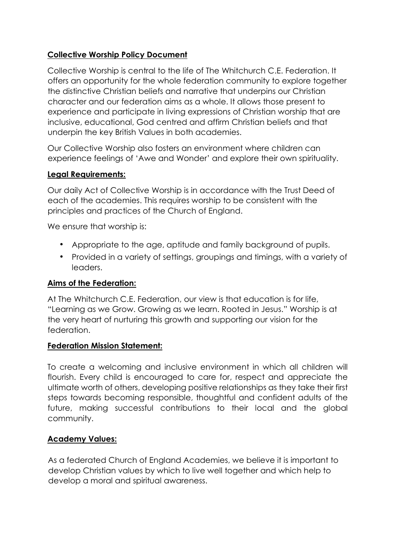### **Collective Worship Policy Document**

Collective Worship is central to the life of The Whitchurch C.E. Federation. It offers an opportunity for the whole federation community to explore together the distinctive Christian beliefs and narrative that underpins our Christian character and our federation aims as a whole. It allows those present to experience and participate in living expressions of Christian worship that are inclusive, educational, God centred and affirm Christian beliefs and that underpin the key British Values in both academies.

Our Collective Worship also fosters an environment where children can experience feelings of 'Awe and Wonder' and explore their own spirituality.

### **Legal Requirements:**

Our daily Act of Collective Worship is in accordance with the Trust Deed of each of the academies. This requires worship to be consistent with the principles and practices of the Church of England.

We ensure that worship is:

- Appropriate to the age, aptitude and family background of pupils.
- Provided in a variety of settings, groupings and timings, with a variety of leaders.

### **Aims of the Federation:**

At The Whitchurch C.E. Federation, our view is that education is for life, "Learning as we Grow. Growing as we learn. Rooted in Jesus." Worship is at the very heart of nurturing this growth and supporting our vision for the federation.

### **Federation Mission Statement:**

To create a welcoming and inclusive environment in which all children will flourish. Every child is encouraged to care for, respect and appreciate the ultimate worth of others, developing positive relationships as they take their first steps towards becoming responsible, thoughtful and confident adults of the future, making successful contributions to their local and the global community.

### **Academy Values:**

As a federated Church of England Academies, we believe it is important to develop Christian values by which to live well together and which help to develop a moral and spiritual awareness.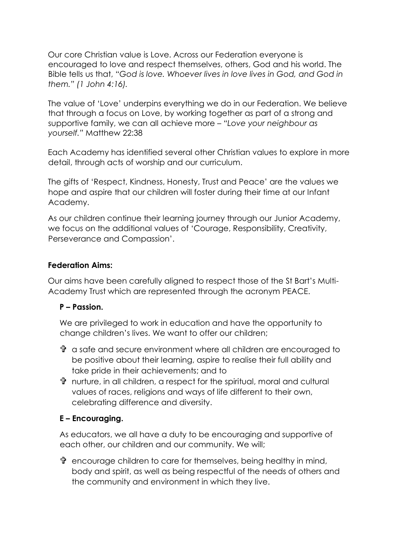Our core Christian value is Love. Across our Federation everyone is encouraged to love and respect themselves, others, God and his world. The Bible tells us that, "*God is love. Whoever lives in love lives in God, and God in them." (1 John 4:16).*

The value of 'Love' underpins everything we do in our Federation. We believe that through a focus on Love, by working together as part of a strong and supportive family, we can all achieve more – *"Love your neighbour as yourself."* Matthew 22:38

Each Academy has identified several other Christian values to explore in more detail, through acts of worship and our curriculum.

The gifts of 'Respect, Kindness, Honesty, Trust and Peace' are the values we hope and aspire that our children will foster during their time at our Infant Academy.

As our children continue their learning journey through our Junior Academy, we focus on the additional values of 'Courage, Responsibility, Creativity, Perseverance and Compassion'.

### **Federation Aims:**

Our aims have been carefully aligned to respect those of the St Bart's Multi-Academy Trust which are represented through the acronym PEACE.

### **P – Passion.**

We are privileged to work in education and have the opportunity to change children's lives. We want to offer our children;

- a safe and secure environment where all children are encouraged to be positive about their learning, aspire to realise their full ability and take pride in their achievements; and to
- nurture, in all children, a respect for the spiritual, moral and cultural values of races, religions and ways of life different to their own, celebrating difference and diversity.

### **E – Encouraging.**

As educators, we all have a duty to be encouraging and supportive of each other, our children and our community. We will;

 encourage children to care for themselves, being healthy in mind, body and spirit, as well as being respectful of the needs of others and the community and environment in which they live.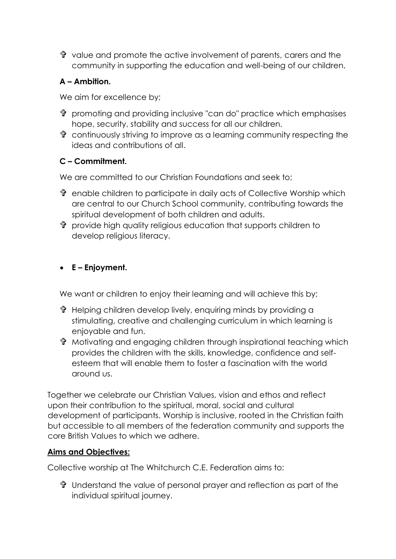value and promote the active involvement of parents, carers and the community in supporting the education and well-being of our children.

## **A – Ambition.**

We aim for excellence by;

- **th** promoting and providing inclusive "can do" practice which emphasises hope, security, stability and success for all our children.
- continuously striving to improve as a learning community respecting the ideas and contributions of all.

# **C – Commitment.**

We are committed to our Christian Foundations and seek to;

- enable children to participate in daily acts of Collective Worship which are central to our Church School community, contributing towards the spiritual development of both children and adults.
- provide high quality religious education that supports children to develop religious literacy.

# **E – Enjoyment.**

We want or children to enjoy their learning and will achieve this by;

- Helping children develop lively, enquiring minds by providing a stimulating, creative and challenging curriculum in which learning is enjoyable and fun.
- Motivating and engaging children through inspirational teaching which provides the children with the skills, knowledge, confidence and selfesteem that will enable them to foster a fascination with the world around us.

Together we celebrate our Christian Values, vision and ethos and reflect upon their contribution to the spiritual, moral, social and cultural development of participants. Worship is inclusive, rooted in the Christian faith but accessible to all members of the federation community and supports the core British Values to which we adhere.

## **Aims and Objectives:**

Collective worship at The Whitchurch C.E. Federation aims to:

 $\mathbf{\hat{P}}$  Understand the value of personal prayer and reflection as part of the individual spiritual journey.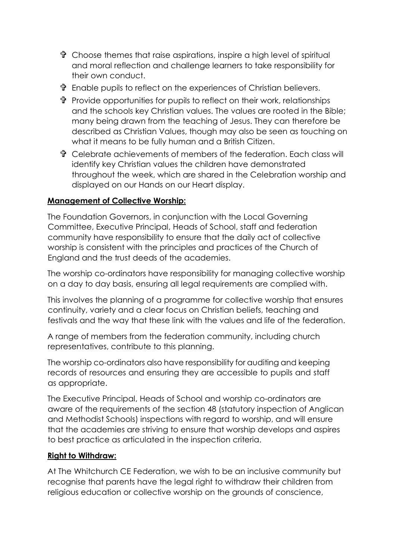- $\mathbf{\hat{r}}$  Choose themes that raise aspirations, inspire a high level of spiritual and moral reflection and challenge learners to take responsibility for their own conduct.
- Enable pupils to reflect on the experiences of Christian believers.
- $\mathbf{\hat{P}}$  Provide opportunities for pupils to reflect on their work, relationships and the schools key Christian values. The values are rooted in the Bible; many being drawn from the teaching of Jesus. They can therefore be described as Christian Values, though may also be seen as touching on what it means to be fully human and a British Citizen.
- Celebrate achievements of members of the federation. Each class will identify key Christian values the children have demonstrated throughout the week, which are shared in the Celebration worship and displayed on our Hands on our Heart display.

### **Management of Collective Worship:**

The Foundation Governors, in conjunction with the Local Governing Committee, Executive Principal, Heads of School, staff and federation community have responsibility to ensure that the daily act of collective worship is consistent with the principles and practices of the Church of England and the trust deeds of the academies.

The worship co-ordinators have responsibility for managing collective worship on a day to day basis, ensuring all legal requirements are complied with.

This involves the planning of a programme for collective worship that ensures continuity, variety and a clear focus on Christian beliefs, teaching and festivals and the way that these link with the values and life of the federation.

A range of members from the federation community, including church representatives, contribute to this planning.

The worship co-ordinators also have responsibility for auditing and keeping records of resources and ensuring they are accessible to pupils and staff as appropriate.

The Executive Principal, Heads of School and worship co-ordinators are aware of the requirements of the section 48 (statutory inspection of Anglican and Methodist Schools) inspections with regard to worship, and will ensure that the academies are striving to ensure that worship develops and aspires to best practice as articulated in the inspection criteria.

### **Right to Withdraw:**

At The Whitchurch CE Federation, we wish to be an inclusive community but recognise that parents have the legal right to withdraw their children from religious education or collective worship on the grounds of conscience,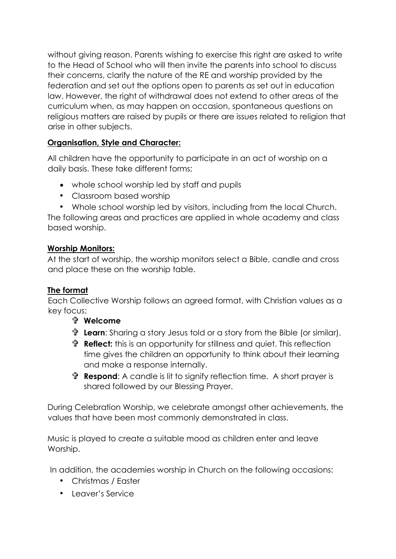without giving reason. Parents wishing to exercise this right are asked to write to the Head of School who will then invite the parents into school to discuss their concerns, clarify the nature of the RE and worship provided by the federation and set out the options open to parents as set out in education law. However, the right of withdrawal does not extend to other areas of the curriculum when, as may happen on occasion, spontaneous questions on religious matters are raised by pupils or there are issues related to religion that arise in other subjects.

### **Organisation, Style and Character:**

All children have the opportunity to participate in an act of worship on a daily basis. These take different forms;

- whole school worship led by staff and pupils
- Classroom based worship
- Whole school worship led by visitors, including from the local Church.

The following areas and practices are applied in whole academy and class based worship.

### **Worship Monitors:**

At the start of worship, the worship monitors select a Bible, candle and cross and place these on the worship table.

### **The format**

Each Collective Worship follows an agreed format, with Christian values as a key focus;

- **Welcome**
- **Learn**: Sharing a story Jesus told or a story from the Bible (or similar).
- **th Reflect:** this is an opportunity for stillness and quiet. This reflection time gives the children an opportunity to think about their learning and make a response internally.
- **Respond**: A candle is lit to signify reflection time. A short prayer is shared followed by our Blessing Prayer.

During Celebration Worship, we celebrate amongst other achievements, the values that have been most commonly demonstrated in class.

Music is played to create a suitable mood as children enter and leave Worship.

In addition, the academies worship in Church on the following occasions:

- Christmas / Easter
- Leaver's Service